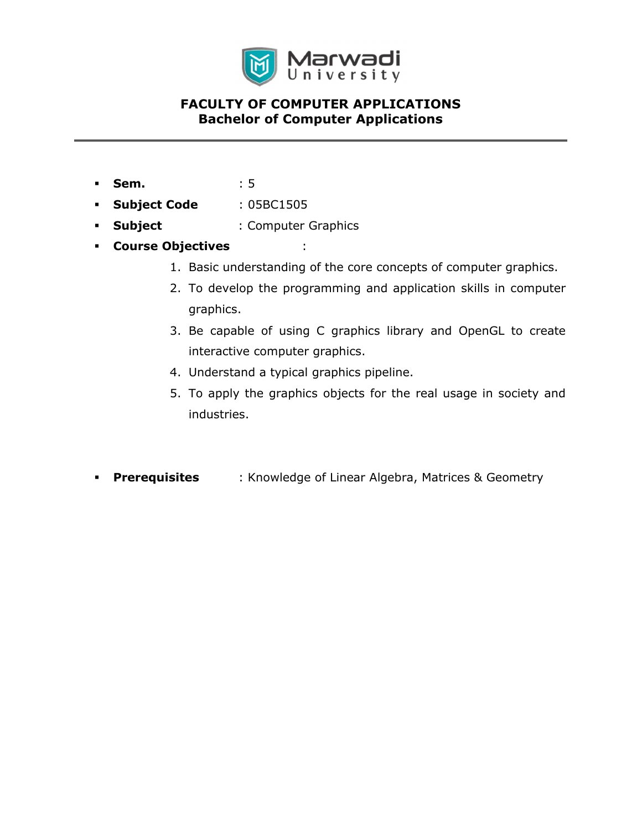

# FACULTY OF COMPUTER APPLICATIONS Bachelor of Computer Applications

- Sem. : 5
- Subject Code : 05BC1505
- Subject : Computer Graphics
- Course Objectives :
	- 1. Basic understanding of the core concepts of computer graphics.
	- 2. To develop the programming and application skills in computer graphics.
	- 3. Be capable of using C graphics library and OpenGL to create interactive computer graphics.
	- 4. Understand a typical graphics pipeline.
	- 5. To apply the graphics objects for the real usage in society and industries.
- **Prerequisites** : Knowledge of Linear Algebra, Matrices & Geometry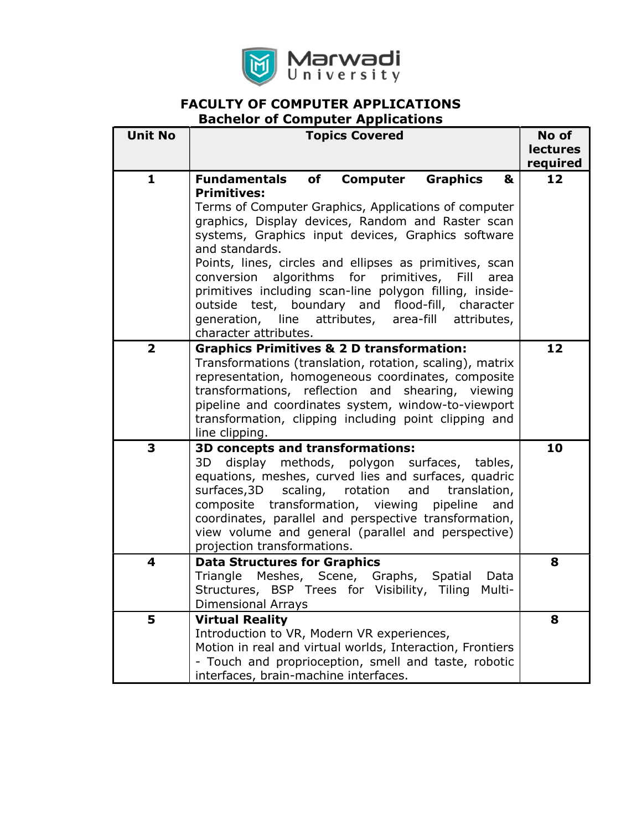

# FACULTY OF COMPUTER APPLICATIONS

# Bachelor of Computer Applications

| <b>Unit No</b>          | <b>Topics Covered</b>                                                                                                                                                                                                                                                                                                                                                                                                                                                                                                                                                                                            | No of           |
|-------------------------|------------------------------------------------------------------------------------------------------------------------------------------------------------------------------------------------------------------------------------------------------------------------------------------------------------------------------------------------------------------------------------------------------------------------------------------------------------------------------------------------------------------------------------------------------------------------------------------------------------------|-----------------|
|                         |                                                                                                                                                                                                                                                                                                                                                                                                                                                                                                                                                                                                                  | <b>lectures</b> |
|                         |                                                                                                                                                                                                                                                                                                                                                                                                                                                                                                                                                                                                                  | required        |
| 1                       | <b>Fundamentals</b><br>of<br><b>Computer</b><br><b>Graphics</b><br>&<br><b>Primitives:</b><br>Terms of Computer Graphics, Applications of computer<br>graphics, Display devices, Random and Raster scan<br>systems, Graphics input devices, Graphics software<br>and standards.<br>Points, lines, circles and ellipses as primitives, scan<br>algorithms<br>for<br>conversion<br>primitives,<br>Fill<br>area<br>primitives including scan-line polygon filling, inside-<br>outside test, boundary and flood-fill, character<br>generation, line attributes,<br>area-fill<br>attributes,<br>character attributes. | 12              |
| $\overline{\mathbf{2}}$ | <b>Graphics Primitives &amp; 2 D transformation:</b><br>Transformations (translation, rotation, scaling), matrix<br>representation, homogeneous coordinates, composite<br>transformations, reflection and<br>shearing, viewing<br>pipeline and coordinates system, window-to-viewport<br>transformation, clipping including point clipping and<br>line clipping.                                                                                                                                                                                                                                                 | 12              |
| 3                       | 3D concepts and transformations:<br>3D<br>display methods, polygon surfaces, tables,<br>equations, meshes, curved lies and surfaces, quadric<br>surfaces, 3D<br>scaling,<br>rotation<br>and<br>translation,<br>composite transformation, viewing pipeline<br>and<br>coordinates, parallel and perspective transformation,<br>view volume and general (parallel and perspective)<br>projection transformations.                                                                                                                                                                                                   | 10              |
| 4                       | <b>Data Structures for Graphics</b><br>Triangle Meshes, Scene, Graphs, Spatial<br>Data<br>Structures, BSP Trees for Visibility,<br>Tiling<br>Multi-<br><b>Dimensional Arrays</b>                                                                                                                                                                                                                                                                                                                                                                                                                                 | 8               |
| 5                       | <b>Virtual Reality</b><br>Introduction to VR, Modern VR experiences,<br>Motion in real and virtual worlds, Interaction, Frontiers<br>- Touch and proprioception, smell and taste, robotic<br>interfaces, brain-machine interfaces.                                                                                                                                                                                                                                                                                                                                                                               | 8               |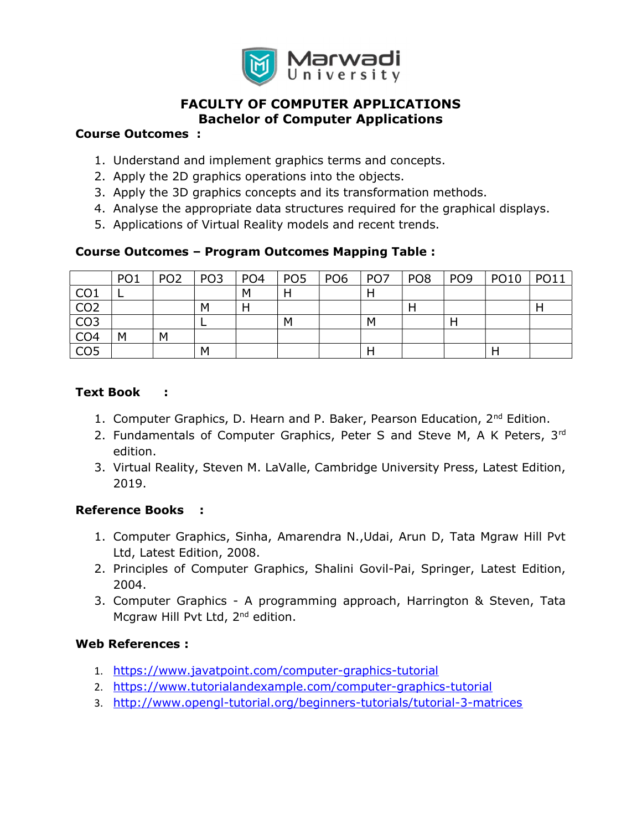

# FACULTY OF COMPUTER APPLICATIONS Bachelor of Computer Applications

#### Course Outcomes :

- 1. Understand and implement graphics terms and concepts.
- 2. Apply the 2D graphics operations into the objects.
- 3. Apply the 3D graphics concepts and its transformation methods.
- 4. Analyse the appropriate data structures required for the graphical displays.
- 5. Applications of Virtual Reality models and recent trends.

#### Course Outcomes – Program Outcomes Mapping Table :

|                 | PO <sub>1</sub> | PO <sub>2</sub> | PO <sub>3</sub> | PO <sub>4</sub> | PO <sub>5</sub> | PO <sub>6</sub> | PO <sub>7</sub> | PO <sub>8</sub> | PO <sub>9</sub> | <b>PO10</b> | <b>PO11</b> |
|-----------------|-----------------|-----------------|-----------------|-----------------|-----------------|-----------------|-----------------|-----------------|-----------------|-------------|-------------|
| CO <sub>1</sub> |                 |                 |                 | M               | H               |                 |                 |                 |                 |             |             |
| CO <sub>2</sub> |                 |                 | М               |                 |                 |                 |                 |                 |                 |             |             |
| CO <sub>3</sub> |                 |                 |                 |                 | M               |                 | М               |                 |                 |             |             |
| CO <sub>4</sub> | M               | M               |                 |                 |                 |                 |                 |                 |                 |             |             |
| CO <sub>5</sub> |                 |                 | М               |                 |                 |                 |                 |                 |                 |             |             |

### Text Book :

- 1. Computer Graphics, D. Hearn and P. Baker, Pearson Education, 2<sup>nd</sup> Edition.
- 2. Fundamentals of Computer Graphics, Peter S and Steve M, A K Peters,  $3<sup>rd</sup>$ edition.
- 3. Virtual Reality, Steven M. LaValle, Cambridge University Press, Latest Edition, 2019.

### Reference Books :

- 1. Computer Graphics, Sinha, Amarendra N.,Udai, Arun D, Tata Mgraw Hill Pvt Ltd, Latest Edition, 2008.
- 2. Principles of Computer Graphics, Shalini Govil-Pai, Springer, Latest Edition, 2004.
- 3. Computer Graphics A programming approach, Harrington & Steven, Tata Mcgraw Hill Pvt Ltd, 2<sup>nd</sup> edition.

### Web References :

- 1. https://www.javatpoint.com/computer-graphics-tutorial
- 2. https://www.tutorialandexample.com/computer-graphics-tutorial
- 3. http://www.opengl-tutorial.org/beginners-tutorials/tutorial-3-matrices